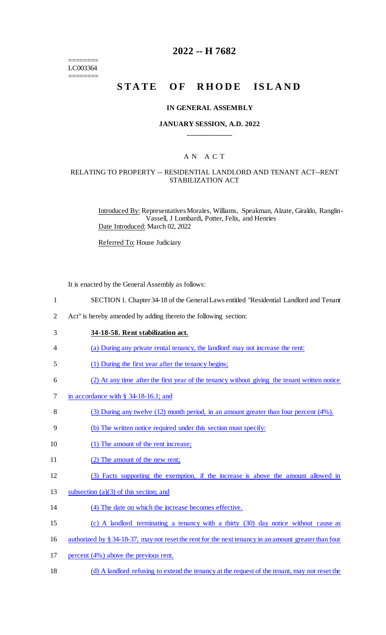======== LC003364 ========

# **2022 -- H 7682**

# STATE OF RHODE ISLAND

#### **IN GENERAL ASSEMBLY**

### **JANUARY SESSION, A.D. 2022 \_\_\_\_\_\_\_\_\_\_\_\_**

## A N A C T

### RELATING TO PROPERTY -- RESIDENTIAL LANDLORD AND TENANT ACT--RENT STABILIZATION ACT

Introduced By: Representatives Morales, Williams, Speakman, Alzate, Giraldo, Ranglin-Vassell, J Lombardi, Potter, Felix, and Henries Date Introduced: March 02, 2022

Referred To: House Judiciary

It is enacted by the General Assembly as follows:

- 2 Act" is hereby amended by adding thereto the following section:
- 3 **34-18-58. Rent stabilization act.**
- 4 (a) During any private rental tenancy, the landlord may not increase the rent:
- 5 (1) During the first year after the tenancy begins;
- 6 (2) At any time after the first year of the tenancy without giving the tenant written notice
- 7 in accordance with § 34-18-16.1; and
- 8 (3) During any twelve (12) month period, in an amount greater than four percent (4%).
- 9 (b) The written notice required under this section must specify:
- 10 (1) The amount of the rent increase;
- 11 (2) The amount of the new rent;
- 12 (3) Facts supporting the exemption, if the increase is above the amount allowed in
- 13 subsection (a)(3) of this section; and
- 14 (4) The date on which the increase becomes effective.
- 15 (c) A landlord terminating a tenancy with a thirty (30) day notice without cause as
- 16 authorized by § 34-18-37, may not reset the rent for the next tenancy in an amount greater than four
- 17 percent (4%) above the previous rent.
- 18 (d) A landlord refusing to extend the tenancy at the request of the tenant, may not reset the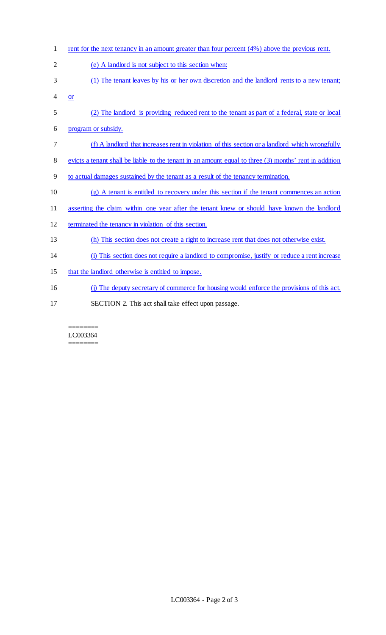1 rent for the next tenancy in an amount greater than four percent (4%) above the previous rent. (e) A landlord is not subject to this section when: (1) The tenant leaves by his or her own discretion and the landlord rents to a new tenant;  $4 \quad or \quad$  (2) The landlord is providing reduced rent to the tenant as part of a federal, state or local program or subsidy. (f) A landlord that increases rent in violation of this section or a landlord which wrongfully evicts a tenant shall be liable to the tenant in an amount equal to three (3) months' rent in addition to actual damages sustained by the tenant as a result of the tenancy termination. (g) A tenant is entitled to recovery under this section if the tenant commences an action asserting the claim within one year after the tenant knew or should have known the landlord terminated the tenancy in violation of this section. (h) This section does not create a right to increase rent that does not otherwise exist. (i) This section does not require a landlord to compromise, justify or reduce a rent increase 15 that the landlord otherwise is entitled to impose. (j) The deputy secretary of commerce for housing would enforce the provisions of this act. SECTION 2. This act shall take effect upon passage.

#### ======== LC003364 ========